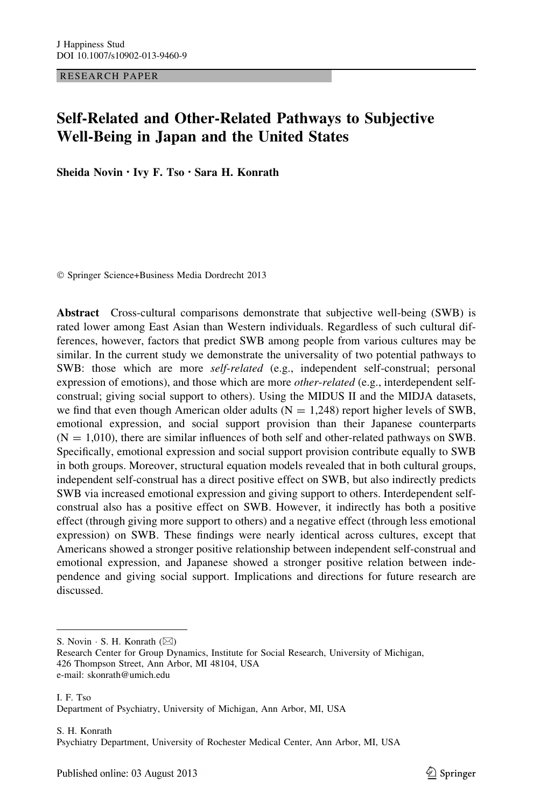RESEARCH PAPER

# Self-Related and Other-Related Pathways to Subjective Well-Being in Japan and the United States

Sheida Novin • Ivy F. Tso • Sara H. Konrath

- Springer Science+Business Media Dordrecht 2013

Abstract Cross-cultural comparisons demonstrate that subjective well-being (SWB) is rated lower among East Asian than Western individuals. Regardless of such cultural differences, however, factors that predict SWB among people from various cultures may be similar. In the current study we demonstrate the universality of two potential pathways to SWB: those which are more self-related (e.g., independent self-construal; personal expression of emotions), and those which are more *other-related* (e.g., interdependent selfconstrual; giving social support to others). Using the MIDUS II and the MIDJA datasets, we find that even though American older adults ( $N = 1,248$ ) report higher levels of SWB, emotional expression, and social support provision than their Japanese counterparts  $(N = 1,010)$ , there are similar influences of both self and other-related pathways on SWB. Specifically, emotional expression and social support provision contribute equally to SWB in both groups. Moreover, structural equation models revealed that in both cultural groups, independent self-construal has a direct positive effect on SWB, but also indirectly predicts SWB via increased emotional expression and giving support to others. Interdependent selfconstrual also has a positive effect on SWB. However, it indirectly has both a positive effect (through giving more support to others) and a negative effect (through less emotional expression) on SWB. These findings were nearly identical across cultures, except that Americans showed a stronger positive relationship between independent self-construal and emotional expression, and Japanese showed a stronger positive relation between independence and giving social support. Implications and directions for future research are discussed.

S. Novin  $\cdot$  S. H. Konrath ( $\boxtimes$ )

Research Center for Group Dynamics, Institute for Social Research, University of Michigan, 426 Thompson Street, Ann Arbor, MI 48104, USA e-mail: skonrath@umich.edu

I. F. Tso Department of Psychiatry, University of Michigan, Ann Arbor, MI, USA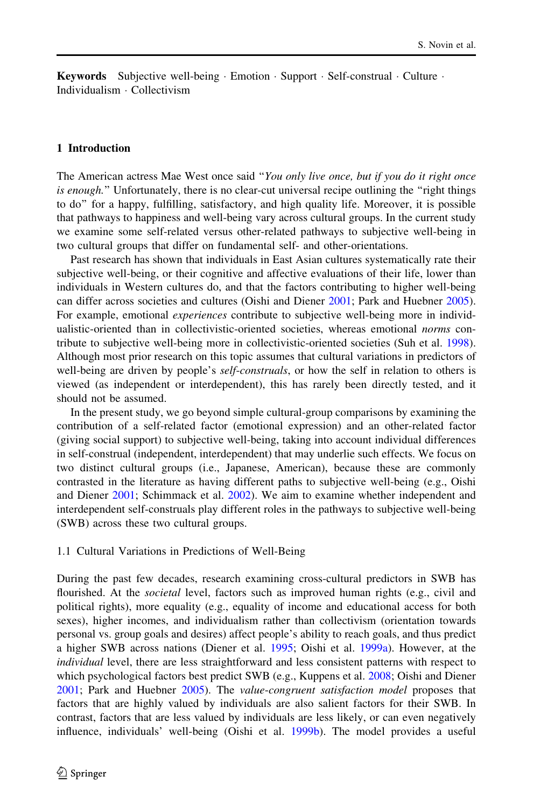Keywords Subjective well-being · Emotion · Support · Self-construal · Culture · Individualism - Collectivism

### 1 Introduction

The American actress Mae West once said "You only live once, but if you do it right once is enough." Unfortunately, there is no clear-cut universal recipe outlining the "right things" to do'' for a happy, fulfilling, satisfactory, and high quality life. Moreover, it is possible that pathways to happiness and well-being vary across cultural groups. In the current study we examine some self-related versus other-related pathways to subjective well-being in two cultural groups that differ on fundamental self- and other-orientations.

Past research has shown that individuals in East Asian cultures systematically rate their subjective well-being, or their cognitive and affective evaluations of their life, lower than individuals in Western cultures do, and that the factors contributing to higher well-being can differ across societies and cultures (Oishi and Diener [2001;](#page-19-0) Park and Huebner [2005](#page-19-0)). For example, emotional *experiences* contribute to subjective well-being more in individualistic-oriented than in collectivistic-oriented societies, whereas emotional norms contribute to subjective well-being more in collectivistic-oriented societies (Suh et al. [1998](#page-19-0)). Although most prior research on this topic assumes that cultural variations in predictors of well-being are driven by people's *self-construals*, or how the self in relation to others is viewed (as independent or interdependent), this has rarely been directly tested, and it should not be assumed.

In the present study, we go beyond simple cultural-group comparisons by examining the contribution of a self-related factor (emotional expression) and an other-related factor (giving social support) to subjective well-being, taking into account individual differences in self-construal (independent, interdependent) that may underlie such effects. We focus on two distinct cultural groups (i.e., Japanese, American), because these are commonly contrasted in the literature as having different paths to subjective well-being (e.g., Oishi and Diener [2001;](#page-19-0) Schimmack et al. [2002\)](#page-19-0). We aim to examine whether independent and interdependent self-construals play different roles in the pathways to subjective well-being (SWB) across these two cultural groups.

#### 1.1 Cultural Variations in Predictions of Well-Being

During the past few decades, research examining cross-cultural predictors in SWB has flourished. At the *societal* level, factors such as improved human rights (e.g., civil and political rights), more equality (e.g., equality of income and educational access for both sexes), higher incomes, and individualism rather than collectivism (orientation towards personal vs. group goals and desires) affect people's ability to reach goals, and thus predict a higher SWB across nations (Diener et al. [1995;](#page-18-0) Oishi et al. [1999a\)](#page-19-0). However, at the individual level, there are less straightforward and less consistent patterns with respect to which psychological factors best predict SWB (e.g., Kuppens et al. [2008;](#page-18-0) Oishi and Diener [2001;](#page-19-0) Park and Huebner [2005\)](#page-19-0). The value-congruent satisfaction model proposes that factors that are highly valued by individuals are also salient factors for their SWB. In contrast, factors that are less valued by individuals are less likely, or can even negatively influence, individuals' well-being (Oishi et al. [1999b](#page-19-0)). The model provides a useful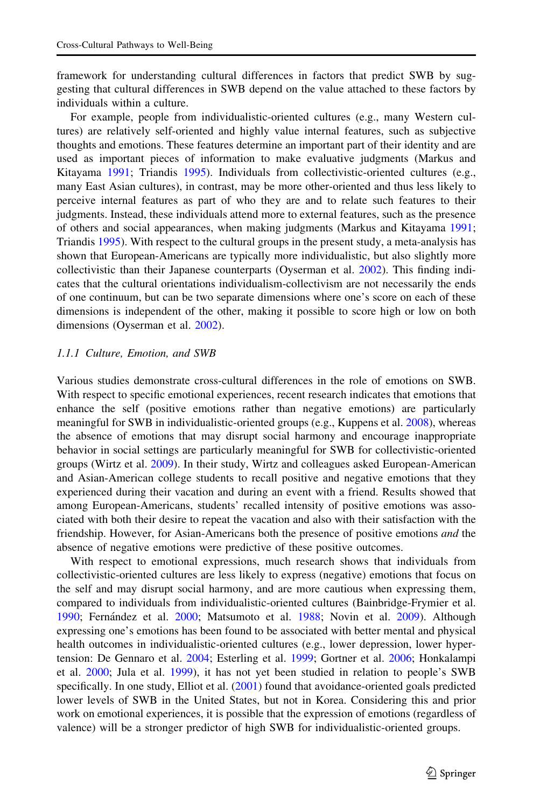framework for understanding cultural differences in factors that predict SWB by suggesting that cultural differences in SWB depend on the value attached to these factors by individuals within a culture.

For example, people from individualistic-oriented cultures (e.g., many Western cultures) are relatively self-oriented and highly value internal features, such as subjective thoughts and emotions. These features determine an important part of their identity and are used as important pieces of information to make evaluative judgments (Markus and Kitayama [1991](#page-18-0); Triandis [1995](#page-19-0)). Individuals from collectivistic-oriented cultures (e.g., many East Asian cultures), in contrast, may be more other-oriented and thus less likely to perceive internal features as part of who they are and to relate such features to their judgments. Instead, these individuals attend more to external features, such as the presence of others and social appearances, when making judgments (Markus and Kitayama [1991;](#page-18-0) Triandis [1995\)](#page-19-0). With respect to the cultural groups in the present study, a meta-analysis has shown that European-Americans are typically more individualistic, but also slightly more collectivistic than their Japanese counterparts (Oyserman et al. [2002\)](#page-19-0). This finding indicates that the cultural orientations individualism-collectivism are not necessarily the ends of one continuum, but can be two separate dimensions where one's score on each of these dimensions is independent of the other, making it possible to score high or low on both dimensions (Oyserman et al. [2002\)](#page-19-0).

### 1.1.1 Culture, Emotion, and SWB

Various studies demonstrate cross-cultural differences in the role of emotions on SWB. With respect to specific emotional experiences, recent research indicates that emotions that enhance the self (positive emotions rather than negative emotions) are particularly meaningful for SWB in individualistic-oriented groups (e.g., Kuppens et al. [2008\)](#page-18-0), whereas the absence of emotions that may disrupt social harmony and encourage inappropriate behavior in social settings are particularly meaningful for SWB for collectivistic-oriented groups (Wirtz et al. [2009](#page-19-0)). In their study, Wirtz and colleagues asked European-American and Asian-American college students to recall positive and negative emotions that they experienced during their vacation and during an event with a friend. Results showed that among European-Americans, students' recalled intensity of positive emotions was associated with both their desire to repeat the vacation and also with their satisfaction with the friendship. However, for Asian-Americans both the presence of positive emotions *and* the absence of negative emotions were predictive of these positive outcomes.

With respect to emotional expressions, much research shows that individuals from collectivistic-oriented cultures are less likely to express (negative) emotions that focus on the self and may disrupt social harmony, and are more cautious when expressing them, compared to individuals from individualistic-oriented cultures (Bainbridge-Frymier et al. [1990;](#page-17-0) Ferna´ndez et al. [2000](#page-18-0); Matsumoto et al. [1988;](#page-18-0) Novin et al. [2009](#page-18-0)). Although expressing one's emotions has been found to be associated with better mental and physical health outcomes in individualistic-oriented cultures (e.g., lower depression, lower hypertension: De Gennaro et al. [2004;](#page-18-0) Esterling et al. [1999;](#page-18-0) Gortner et al. [2006;](#page-18-0) Honkalampi et al. [2000;](#page-18-0) Jula et al. [1999](#page-18-0)), it has not yet been studied in relation to people's SWB specifically. In one study, Elliot et al. [\(2001\)](#page-18-0) found that avoidance-oriented goals predicted lower levels of SWB in the United States, but not in Korea. Considering this and prior work on emotional experiences, it is possible that the expression of emotions (regardless of valence) will be a stronger predictor of high SWB for individualistic-oriented groups.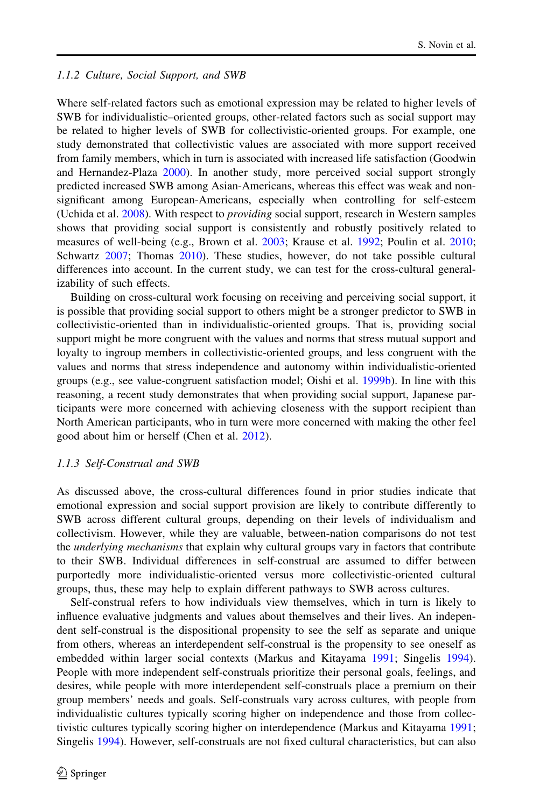#### 1.1.2 Culture, Social Support, and SWB

Where self-related factors such as emotional expression may be related to higher levels of SWB for individualistic–oriented groups, other-related factors such as social support may be related to higher levels of SWB for collectivistic-oriented groups. For example, one study demonstrated that collectivistic values are associated with more support received from family members, which in turn is associated with increased life satisfaction (Goodwin and Hernandez-Plaza [2000](#page-18-0)). In another study, more perceived social support strongly predicted increased SWB among Asian-Americans, whereas this effect was weak and nonsignificant among European-Americans, especially when controlling for self-esteem (Uchida et al. [2008](#page-19-0)). With respect to providing social support, research in Western samples shows that providing social support is consistently and robustly positively related to measures of well-being (e.g., Brown et al. [2003;](#page-17-0) Krause et al. [1992;](#page-18-0) Poulin et al. [2010;](#page-19-0) Schwartz [2007;](#page-19-0) Thomas [2010\)](#page-19-0). These studies, however, do not take possible cultural differences into account. In the current study, we can test for the cross-cultural generalizability of such effects.

Building on cross-cultural work focusing on receiving and perceiving social support, it is possible that providing social support to others might be a stronger predictor to SWB in collectivistic-oriented than in individualistic-oriented groups. That is, providing social support might be more congruent with the values and norms that stress mutual support and loyalty to ingroup members in collectivistic-oriented groups, and less congruent with the values and norms that stress independence and autonomy within individualistic-oriented groups (e.g., see value-congruent satisfaction model; Oishi et al. [1999b](#page-19-0)). In line with this reasoning, a recent study demonstrates that when providing social support, Japanese participants were more concerned with achieving closeness with the support recipient than North American participants, who in turn were more concerned with making the other feel good about him or herself (Chen et al. [2012\)](#page-18-0).

#### 1.1.3 Self-Construal and SWB

As discussed above, the cross-cultural differences found in prior studies indicate that emotional expression and social support provision are likely to contribute differently to SWB across different cultural groups, depending on their levels of individualism and collectivism. However, while they are valuable, between-nation comparisons do not test the *underlying mechanisms* that explain why cultural groups vary in factors that contribute to their SWB. Individual differences in self-construal are assumed to differ between purportedly more individualistic-oriented versus more collectivistic-oriented cultural groups, thus, these may help to explain different pathways to SWB across cultures.

Self-construal refers to how individuals view themselves, which in turn is likely to influence evaluative judgments and values about themselves and their lives. An independent self-construal is the dispositional propensity to see the self as separate and unique from others, whereas an interdependent self-construal is the propensity to see oneself as embedded within larger social contexts (Markus and Kitayama [1991](#page-18-0); Singelis [1994](#page-19-0)). People with more independent self-construals prioritize their personal goals, feelings, and desires, while people with more interdependent self-construals place a premium on their group members' needs and goals. Self-construals vary across cultures, with people from individualistic cultures typically scoring higher on independence and those from collectivistic cultures typically scoring higher on interdependence (Markus and Kitayama [1991;](#page-18-0) Singelis [1994\)](#page-19-0). However, self-construals are not fixed cultural characteristics, but can also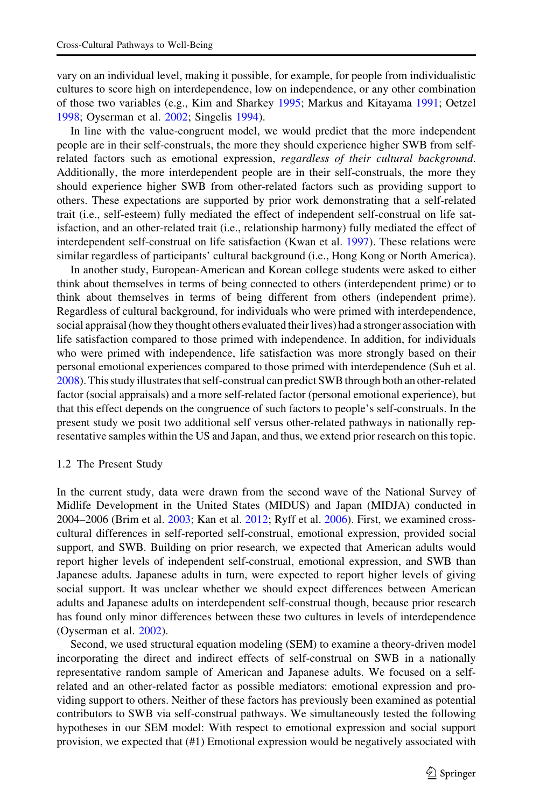vary on an individual level, making it possible, for example, for people from individualistic cultures to score high on interdependence, low on independence, or any other combination of those two variables (e.g., Kim and Sharkey [1995](#page-18-0); Markus and Kitayama [1991;](#page-18-0) Oetzel [1998;](#page-19-0) Oyserman et al. [2002](#page-19-0); Singelis [1994](#page-19-0)).

In line with the value-congruent model, we would predict that the more independent people are in their self-construals, the more they should experience higher SWB from selfrelated factors such as emotional expression, regardless of their cultural background. Additionally, the more interdependent people are in their self-construals, the more they should experience higher SWB from other-related factors such as providing support to others. These expectations are supported by prior work demonstrating that a self-related trait (i.e., self-esteem) fully mediated the effect of independent self-construal on life satisfaction, and an other-related trait (i.e., relationship harmony) fully mediated the effect of interdependent self-construal on life satisfaction (Kwan et al. [1997](#page-18-0)). These relations were similar regardless of participants' cultural background (i.e., Hong Kong or North America).

In another study, European-American and Korean college students were asked to either think about themselves in terms of being connected to others (interdependent prime) or to think about themselves in terms of being different from others (independent prime). Regardless of cultural background, for individuals who were primed with interdependence, social appraisal (how they thought others evaluated their lives) had a stronger association with life satisfaction compared to those primed with independence. In addition, for individuals who were primed with independence, life satisfaction was more strongly based on their personal emotional experiences compared to those primed with interdependence (Suh et al. [2008\)](#page-19-0). This study illustrates that self-construal can predict SWB through both an other-related factor (social appraisals) and a more self-related factor (personal emotional experience), but that this effect depends on the congruence of such factors to people's self-construals. In the present study we posit two additional self versus other-related pathways in nationally representative samples within the US and Japan, and thus, we extend prior research on this topic.

#### 1.2 The Present Study

In the current study, data were drawn from the second wave of the National Survey of Midlife Development in the United States (MIDUS) and Japan (MIDJA) conducted in 2004–2006 (Brim et al. [2003](#page-17-0); Kan et al. [2012](#page-18-0); Ryff et al. [2006\)](#page-19-0). First, we examined crosscultural differences in self-reported self-construal, emotional expression, provided social support, and SWB. Building on prior research, we expected that American adults would report higher levels of independent self-construal, emotional expression, and SWB than Japanese adults. Japanese adults in turn, were expected to report higher levels of giving social support. It was unclear whether we should expect differences between American adults and Japanese adults on interdependent self-construal though, because prior research has found only minor differences between these two cultures in levels of interdependence (Oyserman et al. [2002](#page-19-0)).

Second, we used structural equation modeling (SEM) to examine a theory-driven model incorporating the direct and indirect effects of self-construal on SWB in a nationally representative random sample of American and Japanese adults. We focused on a selfrelated and an other-related factor as possible mediators: emotional expression and providing support to others. Neither of these factors has previously been examined as potential contributors to SWB via self-construal pathways. We simultaneously tested the following hypotheses in our SEM model: With respect to emotional expression and social support provision, we expected that (#1) Emotional expression would be negatively associated with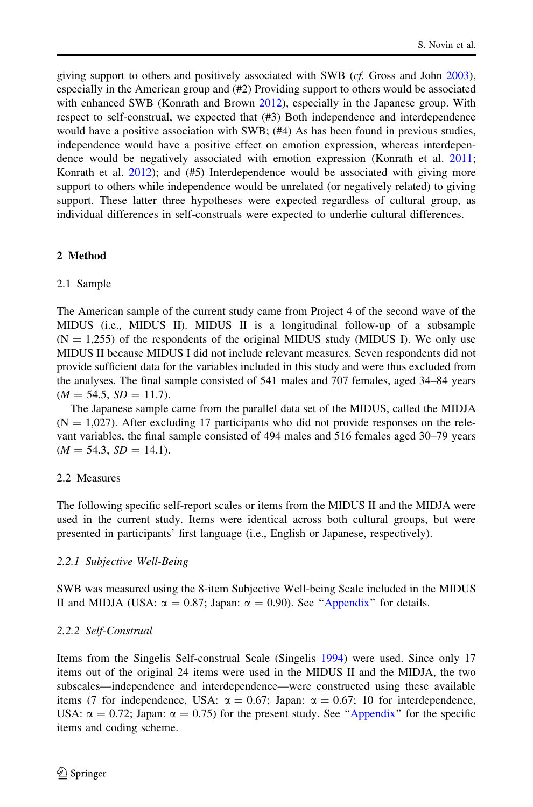giving support to others and positively associated with SWB  $(cf.$  Gross and John [2003](#page-18-0)), especially in the American group and (#2) Providing support to others would be associated with enhanced SWB (Konrath and Brown [2012\)](#page-18-0), especially in the Japanese group. With respect to self-construal, we expected that (#3) Both independence and interdependence would have a positive association with SWB; (#4) As has been found in previous studies, independence would have a positive effect on emotion expression, whereas interdependence would be negatively associated with emotion expression (Konrath et al. [2011;](#page-18-0) Konrath et al. [2012](#page-18-0)); and (#5) Interdependence would be associated with giving more support to others while independence would be unrelated (or negatively related) to giving support. These latter three hypotheses were expected regardless of cultural group, as individual differences in self-construals were expected to underlie cultural differences.

### 2 Method

#### 2.1 Sample

The American sample of the current study came from Project 4 of the second wave of the MIDUS (i.e., MIDUS II). MIDUS II is a longitudinal follow-up of a subsample  $(N = 1,255)$  of the respondents of the original MIDUS study (MIDUS I). We only use MIDUS II because MIDUS I did not include relevant measures. Seven respondents did not provide sufficient data for the variables included in this study and were thus excluded from the analyses. The final sample consisted of 541 males and 707 females, aged 34–84 years  $(M = 54.5, SD = 11.7).$ 

The Japanese sample came from the parallel data set of the MIDUS, called the MIDJA  $(N = 1,027)$ . After excluding 17 participants who did not provide responses on the relevant variables, the final sample consisted of 494 males and 516 females aged 30–79 years  $(M = 54.3, SD = 14.1).$ 

#### 2.2 Measures

The following specific self-report scales or items from the MIDUS II and the MIDJA were used in the current study. Items were identical across both cultural groups, but were presented in participants' first language (i.e., English or Japanese, respectively).

#### 2.2.1 Subjective Well-Being

SWB was measured using the 8-item Subjective Well-being Scale included in the MIDUS II and MIDJA (USA:  $\alpha = 0.87$ ; Japan:  $\alpha = 0.90$ ). See "Appendix" for details.

#### 2.2.2 Self-Construal

Items from the Singelis Self-construal Scale (Singelis [1994](#page-19-0)) were used. Since only 17 items out of the original 24 items were used in the MIDUS II and the MIDJA, the two subscales—independence and interdependence—were constructed using these available items (7 for independence, USA:  $\alpha = 0.67$ ; Japan:  $\alpha = 0.67$ ; 10 for interdependence, USA:  $\alpha = 0.72$ ; Japan:  $\alpha = 0.75$ ) for the present study. See "Appendix" for the specific items and coding scheme.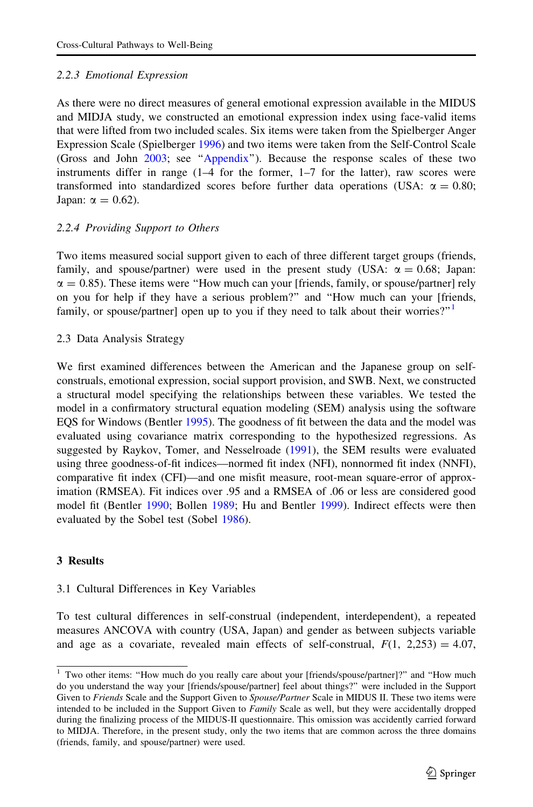# 2.2.3 Emotional Expression

As there were no direct measures of general emotional expression available in the MIDUS and MIDJA study, we constructed an emotional expression index using face-valid items that were lifted from two included scales. Six items were taken from the Spielberger Anger Expression Scale (Spielberger [1996](#page-19-0)) and two items were taken from the Self-Control Scale (Gross and John [2003;](#page-18-0) see '['Appendix](#page-14-0)''). Because the response scales of these two instruments differ in range  $(1-4$  for the former,  $1-7$  for the latter), raw scores were transformed into standardized scores before further data operations (USA:  $\alpha = 0.80$ ; Japan:  $\alpha = 0.62$ ).

# 2.2.4 Providing Support to Others

Two items measured social support given to each of three different target groups (friends, family, and spouse/partner) were used in the present study (USA:  $\alpha = 0.68$ ; Japan:  $\alpha = 0.85$ ). These items were "How much can your [friends, family, or spouse/partner] rely on you for help if they have a serious problem?'' and ''How much can your [friends, family, or spouse/partner] open up to you if they need to talk about their worries?"

# 2.3 Data Analysis Strategy

We first examined differences between the American and the Japanese group on selfconstruals, emotional expression, social support provision, and SWB. Next, we constructed a structural model specifying the relationships between these variables. We tested the model in a confirmatory structural equation modeling (SEM) analysis using the software EQS for Windows (Bentler [1995\)](#page-17-0). The goodness of fit between the data and the model was evaluated using covariance matrix corresponding to the hypothesized regressions. As suggested by Raykov, Tomer, and Nesselroade ([1991\)](#page-19-0), the SEM results were evaluated using three goodness-of-fit indices—normed fit index (NFI), nonnormed fit index (NNFI), comparative fit index (CFI)—and one misfit measure, root-mean square-error of approximation (RMSEA). Fit indices over .95 and a RMSEA of .06 or less are considered good model fit (Bentler [1990](#page-17-0); Bollen [1989;](#page-17-0) Hu and Bentler [1999\)](#page-18-0). Indirect effects were then evaluated by the Sobel test (Sobel [1986\)](#page-19-0).

# 3 Results

# 3.1 Cultural Differences in Key Variables

To test cultural differences in self-construal (independent, interdependent), a repeated measures ANCOVA with country (USA, Japan) and gender as between subjects variable and age as a covariate, revealed main effects of self-construal,  $F(1, 2,253) = 4.07$ ,

<sup>&</sup>lt;sup>1</sup> Two other items: "How much do you really care about your [friends/spouse/partner]?" and "How much do you understand the way your [friends/spouse/partner] feel about things?'' were included in the Support Given to Friends Scale and the Support Given to Spouse/Partner Scale in MIDUS II. These two items were intended to be included in the Support Given to Family Scale as well, but they were accidentally dropped during the finalizing process of the MIDUS-II questionnaire. This omission was accidently carried forward to MIDJA. Therefore, in the present study, only the two items that are common across the three domains (friends, family, and spouse/partner) were used.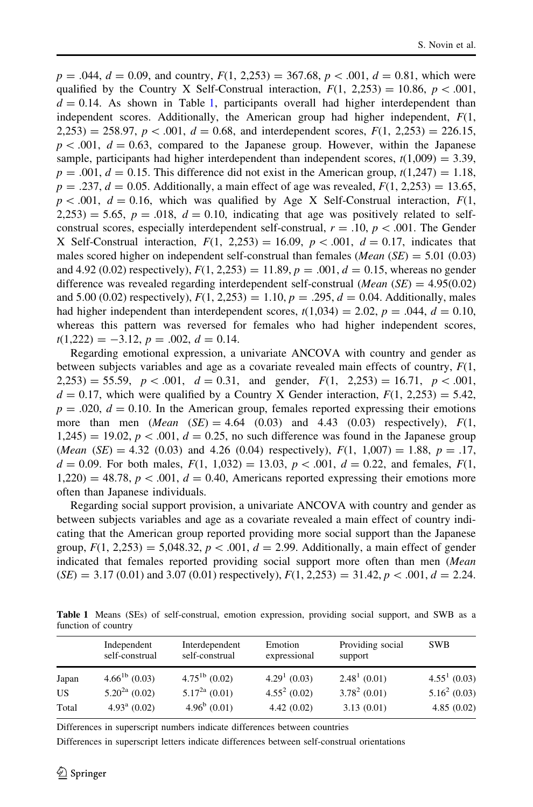$p = .044$ ,  $d = 0.09$ , and country,  $F(1, 2.253) = 367.68$ ,  $p < .001$ ,  $d = 0.81$ , which were qualified by the Country X Self-Construal interaction,  $F(1, 2,253) = 10.86$ ,  $p \lt 0.001$ ,  $d = 0.14$ . As shown in Table 1, participants overall had higher interdependent than independent scores. Additionally, the American group had higher independent,  $F(1, 1)$  $2,253$ ) = 258.97,  $p < .001$ ,  $d = 0.68$ , and interdependent scores,  $F(1, 2,253) = 226.15$ ,  $p$  < 0.01,  $d = 0.63$ , compared to the Japanese group. However, within the Japanese sample, participants had higher interdependent than independent scores,  $t(1,009) = 3.39$ ,  $p = .001$ ,  $d = 0.15$ . This difference did not exist in the American group,  $t(1,247) = 1.18$ ,  $p = .237, d = 0.05$ . Additionally, a main effect of age was revealed,  $F(1, 2, 253) = 13.65$ ,  $p$  < 0.01, d = 0.16, which was qualified by Age X Self-Construal interaction,  $F(1, 1)$  $2,253$ ) = 5.65,  $p = .018$ ,  $d = 0.10$ , indicating that age was positively related to selfconstrual scores, especially interdependent self-construal,  $r = .10$ ,  $p < .001$ . The Gender X Self-Construal interaction,  $F(1, 2,253) = 16.09$ ,  $p < .001$ ,  $d = 0.17$ , indicates that males scored higher on independent self-construal than females (*Mean* (*SE*) = 5.01 (0.03) and 4.92 (0.02) respectively),  $F(1, 2,253) = 11.89$ ,  $p = .001$ ,  $d = 0.15$ , whereas no gender difference was revealed regarding interdependent self-construal (*Mean*  $(SE) = 4.95(0.02)$ ) and 5.00 (0.02) respectively),  $F(1, 2,253) = 1.10$ ,  $p = .295$ ,  $d = 0.04$ . Additionally, males had higher independent than interdependent scores,  $t(1,034) = 2.02$ ,  $p = .044$ ,  $d = 0.10$ , whereas this pattern was reversed for females who had higher independent scores,  $t(1,222) = -3.12, p = .002, d = 0.14.$ 

Regarding emotional expression, a univariate ANCOVA with country and gender as between subjects variables and age as a covariate revealed main effects of country,  $F(1)$ ,  $2,253$ ) = 55.59,  $p < .001$ ,  $d = 0.31$ , and gender,  $F(1, 2,253) = 16.71$ ,  $p < .001$ ,  $d = 0.17$ , which were qualified by a Country X Gender interaction,  $F(1, 2.253) = 5.42$ ,  $p = .020$ ,  $d = 0.10$ . In the American group, females reported expressing their emotions more than men (*Mean* (*SE*) = 4.64 (0.03) and 4.43 (0.03) respectively),  $F(1)$ ,  $1,245$ ) = 19.02,  $p < .001$ ,  $d = 0.25$ , no such difference was found in the Japanese group (*Mean*  $(SE) = 4.32$  (0.03) and 4.26 (0.04) respectively),  $F(1, 1,007) = 1.88$ ,  $p = .17$ ,  $d = 0.09$ . For both males,  $F(1, 1,032) = 13.03$ ,  $p \lt 0.001$ ,  $d = 0.22$ , and females,  $F(1, 1,032) = 13.03$ ,  $p \lt 0.001$ ,  $d = 0.22$ , and females,  $F(1, 1, 032) = 13.03$  $1,220$  = 48.78,  $p < .001$ ,  $d = 0.40$ , Americans reported expressing their emotions more often than Japanese individuals.

Regarding social support provision, a univariate ANCOVA with country and gender as between subjects variables and age as a covariate revealed a main effect of country indicating that the American group reported providing more social support than the Japanese group,  $F(1, 2, 253) = 5,048.32, p < .001, d = 2.99$ . Additionally, a main effect of gender indicated that females reported providing social support more often than men (Mean  $(SE) = 3.17 (0.01)$  and 3.07 (0.01) respectively),  $F(1, 2,253) = 31.42, p \lt 0.001, d = 2.24$ .

Table 1 Means (SEs) of self-construal, emotion expression, providing social support, and SWB as a function of country

|       | Independent<br>self-construal | Interdependent<br>self-construal | Emotion<br>expressional | Providing social<br>support | <b>SWB</b>     |
|-------|-------------------------------|----------------------------------|-------------------------|-----------------------------|----------------|
| Japan | $4.66^{1b}$ (0.03)            | $4.75^{1b}$ (0.02)               | $4.291$ (0.03)          | $2.48^{1}$ (0.01)           | $4.55^1(0.03)$ |
| US    | $5.20^{2a}$ (0.02)            | $5.17^{2a}$ (0.01)               | $4.55^2(0.02)$          | $3.78^2(0.01)$              | $5.16^2(0.03)$ |
| Total | $4.93^{\rm a}$ (0.02)         | $4.96^b$ (0.01)                  | 4.42(0.02)              | 3.13(0.01)                  | 4.85(0.02)     |
|       |                               |                                  |                         |                             |                |

Differences in superscript numbers indicate differences between countries

Differences in superscript letters indicate differences between self-construal orientations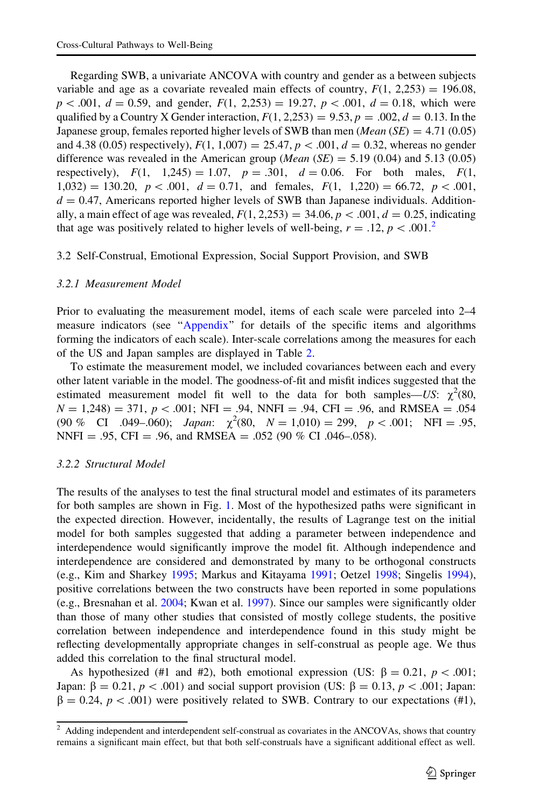Regarding SWB, a univariate ANCOVA with country and gender as a between subjects variable and age as a covariate revealed main effects of country,  $F(1, 2,253) = 196.08$ ,  $p \lt .001$ ,  $d = 0.59$ , and gender,  $F(1, 2,253) = 19.27$ ,  $p \lt .001$ ,  $d = 0.18$ , which were qualified by a Country X Gender interaction,  $F(1, 2.253) = 9.53$ ,  $p = .002$ ,  $d = 0.13$ . In the Japanese group, females reported higher levels of SWB than men (*Mean* (*SE*) = 4.71 (0.05) and 4.38 (0.05) respectively),  $F(1, 1,007) = 25.47, p < .001, d = 0.32$ , whereas no gender difference was revealed in the American group (*Mean*  $(SE) = 5.19$  (0.04) and 5.13 (0.05) respectively),  $F(1, 1,245) = 1.07$ ,  $p = .301$ ,  $d = 0.06$ . For both males,  $F(1, 1,245) = 1.07$ ,  $p = .301$ ,  $d = 0.06$ .  $1,032$  = 130.20,  $p < .001$ ,  $d = 0.71$ , and females,  $F(1, 1,220) = 66.72$ ,  $p < .001$ ,  $d = 0.47$ , Americans reported higher levels of SWB than Japanese individuals. Additionally, a main effect of age was revealed,  $F(1, 2,253) = 34.06$ ,  $p < .001$ ,  $d = 0.25$ , indicating that age was positively related to higher levels of well-being,  $r = .12$ ,  $p < .001$ .<sup>2</sup>

# 3.2 Self-Construal, Emotional Expression, Social Support Provision, and SWB

# 3.2.1 Measurement Model

Prior to evaluating the measurement model, items of each scale were parceled into 2–4 measure indicators (see "Appendix" for details of the specific items and algorithms forming the indicators of each scale). Inter-scale correlations among the measures for each of the US and Japan samples are displayed in Table [2](#page-9-0).

To estimate the measurement model, we included covariances between each and every other latent variable in the model. The goodness-of-fit and misfit indices suggested that the estimated measurement model fit well to the data for both samples—US:  $\chi^2(80,$  $N = 1,248$ ) = 371,  $p < .001$ ; NFI = .94, NNFI = .94, CFI = .96, and RMSEA = .054 (90 % CI .049–.060); *Japan*:  $\chi^2(80, N = 1,010) = 299, p < .001$ ; NFI = .95, NNFI = .95, CFI = .96, and RMSEA = .052 (90 % CI .046–.058).

# 3.2.2 Structural Model

The results of the analyses to test the final structural model and estimates of its parameters for both samples are shown in Fig. [1.](#page-10-0) Most of the hypothesized paths were significant in the expected direction. However, incidentally, the results of Lagrange test on the initial model for both samples suggested that adding a parameter between independence and interdependence would significantly improve the model fit. Although independence and interdependence are considered and demonstrated by many to be orthogonal constructs (e.g., Kim and Sharkey [1995](#page-18-0); Markus and Kitayama [1991;](#page-18-0) Oetzel [1998](#page-19-0); Singelis [1994](#page-19-0)), positive correlations between the two constructs have been reported in some populations (e.g., Bresnahan et al. [2004;](#page-17-0) Kwan et al. [1997](#page-18-0)). Since our samples were significantly older than those of many other studies that consisted of mostly college students, the positive correlation between independence and interdependence found in this study might be reflecting developmentally appropriate changes in self-construal as people age. We thus added this correlation to the final structural model.

As hypothesized (#1 and #2), both emotional expression (US:  $\beta = 0.21$ ,  $p < .001$ ; Japan:  $\beta = 0.21$ ,  $p < .001$ ) and social support provision (US:  $\beta = 0.13$ ,  $p < .001$ ; Japan:  $\beta = 0.24$ ,  $p < .001$ ) were positively related to SWB. Contrary to our expectations (#1),

<sup>2</sup> Adding independent and interdependent self-construal as covariates in the ANCOVAs, shows that country remains a significant main effect, but that both self-construals have a significant additional effect as well.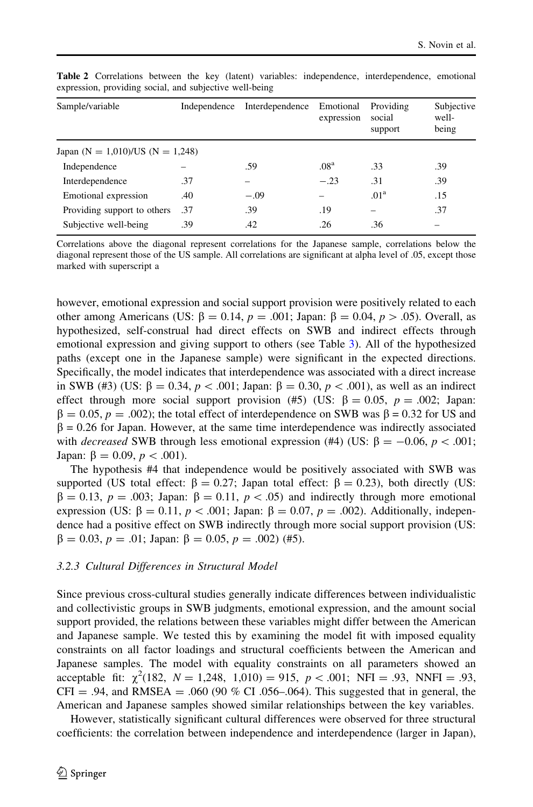| Sample/variable                  | Independence | Interdependence | Emotional<br>expression | Providing<br>social | Subjective<br>well- |
|----------------------------------|--------------|-----------------|-------------------------|---------------------|---------------------|
|                                  |              |                 |                         | support             | being               |
| Japan (N = 1,010)/US (N = 1,248) |              |                 |                         |                     |                     |
| Independence                     |              | .59             | .08 <sup>a</sup>        | .33                 | .39                 |
| Interdependence                  | .37          |                 | $-.23$                  | .31                 | .39                 |
| Emotional expression             | .40          | $-.09$          |                         | .01 <sup>a</sup>    | .15                 |
| Providing support to others      | .37          | .39             | .19                     |                     | .37                 |
| Subjective well-being            | .39          | .42             | .26                     | .36                 |                     |
|                                  |              |                 |                         |                     |                     |

<span id="page-9-0"></span>Table 2 Correlations between the key (latent) variables: independence, interdependence, emotional expression, providing social, and subjective well-being

Correlations above the diagonal represent correlations for the Japanese sample, correlations below the diagonal represent those of the US sample. All correlations are significant at alpha level of .05, except those marked with superscript a

however, emotional expression and social support provision were positively related to each other among Americans (US:  $\beta = 0.14$ ,  $p = .001$ ; Japan:  $\beta = 0.04$ ,  $p > .05$ ). Overall, as hypothesized, self-construal had direct effects on SWB and indirect effects through emotional expression and giving support to others (see Table [3\)](#page-11-0). All of the hypothesized paths (except one in the Japanese sample) were significant in the expected directions. Specifically, the model indicates that interdependence was associated with a direct increase in SWB (#3) (US:  $\beta = 0.34$ , p < .001; Japan:  $\beta = 0.30$ , p < .001), as well as an indirect effect through more social support provision (#5) (US:  $\beta = 0.05$ ,  $p = .002$ ; Japan:  $\beta = 0.05$ ,  $p = .002$ ); the total effect of interdependence on SWB was  $\beta = 0.32$  for US and  $\beta$  = 0.26 for Japan. However, at the same time interdependence was indirectly associated with *decreased* SWB through less emotional expression (#4) (US:  $\beta = -0.06$ ,  $p < .001$ ; Japan:  $\beta = 0.09, p < .001$ .

The hypothesis #4 that independence would be positively associated with SWB was supported (US total effect:  $\beta = 0.27$ ; Japan total effect:  $\beta = 0.23$ ), both directly (US:  $\beta = 0.13$ ,  $p = .003$ ; Japan:  $\beta = 0.11$ ,  $p < .05$ ) and indirectly through more emotional expression (US:  $\beta = 0.11$ ,  $p < .001$ ; Japan:  $\beta = 0.07$ ,  $p = .002$ ). Additionally, independence had a positive effect on SWB indirectly through more social support provision (US:  $\beta = 0.03, p = .01;$  Japan:  $\beta = 0.05, p = .002$  (#5).

#### 3.2.3 Cultural Differences in Structural Model

Since previous cross-cultural studies generally indicate differences between individualistic and collectivistic groups in SWB judgments, emotional expression, and the amount social support provided, the relations between these variables might differ between the American and Japanese sample. We tested this by examining the model fit with imposed equality constraints on all factor loadings and structural coefficients between the American and Japanese samples. The model with equality constraints on all parameters showed an acceptable fit:  $\chi^2(182, N = 1,248, 1,010) = 915, p < .001; NFI = .93, NNFI = .93,$  $CFI = .94$ , and RMSEA = .060 (90 % CI .056–.064). This suggested that in general, the American and Japanese samples showed similar relationships between the key variables.

However, statistically significant cultural differences were observed for three structural coefficients: the correlation between independence and interdependence (larger in Japan),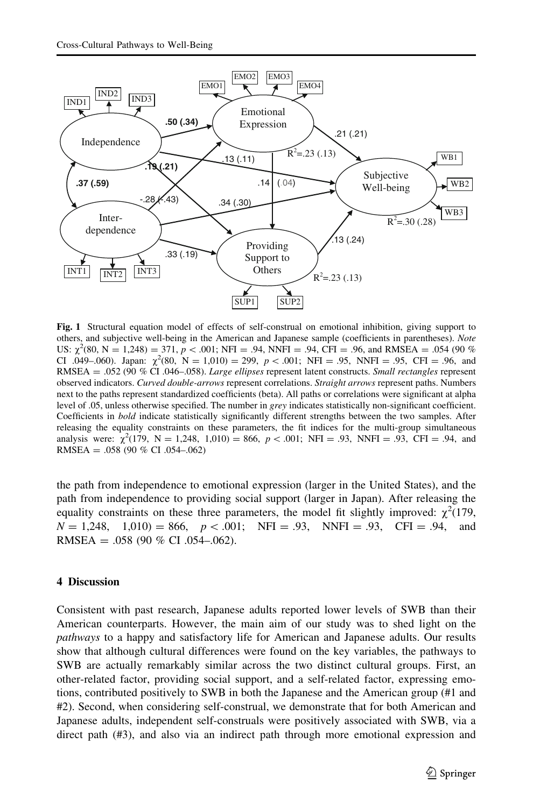<span id="page-10-0"></span>

Fig. 1 Structural equation model of effects of self-construal on emotional inhibition, giving support to others, and subjective well-being in the American and Japanese sample (coefficients in parentheses). Note US:  $\chi^2(80, N = 1,248) = 371, p < .001$ ; NFI = .94, NNFI = .94, CFI = .96, and RMSEA = .054 (90 %) CI .049-.060). Japan:  $\chi^2(80, N = 1,010) = 299$ ,  $p < .001$ ; NFI = .95, NNFI = .95, CFI = .96, and RMSEA = .052 (90 % CI .046-.058). Large ellipses represent latent constructs. Small rectangles represent observed indicators. Curved double-arrows represent correlations. Straight arrows represent paths. Numbers next to the paths represent standardized coefficients (beta). All paths or correlations were significant at alpha level of .05, unless otherwise specified. The number in grey indicates statistically non-significant coefficient. Coefficients in bold indicate statistically significantly different strengths between the two samples. After releasing the equality constraints on these parameters, the fit indices for the multi-group simultaneous analysis were:  $\chi^2(179, N = 1,248, 1,010) = 866, p < .001$ ; NFI = .93, NNFI = .93, CFI = .94, and RMSEA = .058 (90 % CI .054–.062)

the path from independence to emotional expression (larger in the United States), and the path from independence to providing social support (larger in Japan). After releasing the equality constraints on these three parameters, the model fit slightly improved:  $\chi^2(179, 179)$  $N = 1,248, 1,010$  = 866,  $p < .001$ ; NFI = .93, NNFI = .93, CFI = .94, and RMSEA = .058 (90 % CI .054-.062).

### 4 Discussion

Consistent with past research, Japanese adults reported lower levels of SWB than their American counterparts. However, the main aim of our study was to shed light on the pathways to a happy and satisfactory life for American and Japanese adults. Our results show that although cultural differences were found on the key variables, the pathways to SWB are actually remarkably similar across the two distinct cultural groups. First, an other-related factor, providing social support, and a self-related factor, expressing emotions, contributed positively to SWB in both the Japanese and the American group (#1 and #2). Second, when considering self-construal, we demonstrate that for both American and Japanese adults, independent self-construals were positively associated with SWB, via a direct path (#3), and also via an indirect path through more emotional expression and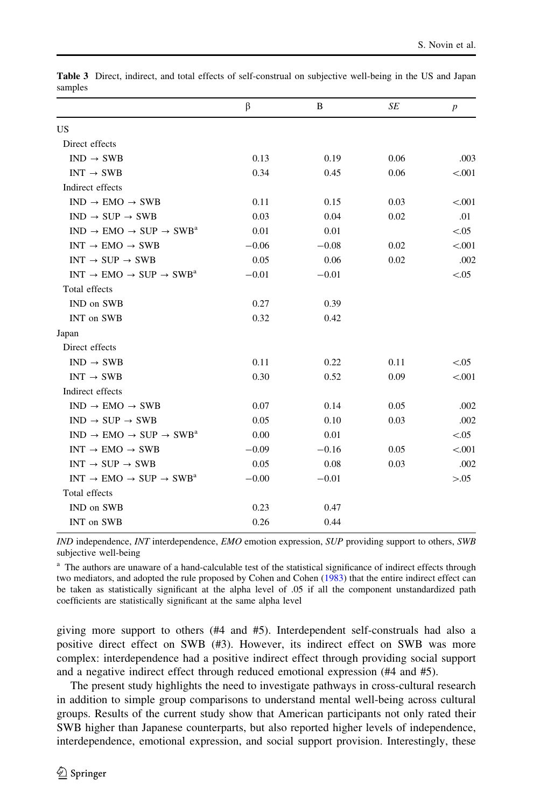|                                                                                                            | β       | B       | SE   | $\boldsymbol{p}$ |
|------------------------------------------------------------------------------------------------------------|---------|---------|------|------------------|
| US                                                                                                         |         |         |      |                  |
| Direct effects                                                                                             |         |         |      |                  |
| $IND \rightarrow SWB$                                                                                      | 0.13    | 0.19    | 0.06 | .003             |
| $INT \rightarrow SWB$                                                                                      | 0.34    | 0.45    | 0.06 | < 0.001          |
| Indirect effects                                                                                           |         |         |      |                  |
| $IND \rightarrow EMO \rightarrow SWB$                                                                      | 0.11    | 0.15    | 0.03 | < 0.001          |
| $IND \rightarrow SUP \rightarrow SWB$                                                                      | 0.03    | 0.04    | 0.02 | .01              |
| $IND \rightarrow EMO \rightarrow SUP \rightarrow SWB^a$                                                    | 0.01    | 0.01    |      | < 0.05           |
| $INT \rightarrow EMO \rightarrow SWB$                                                                      | $-0.06$ | $-0.08$ | 0.02 | < 0.001          |
| $INT \rightarrow SUP \rightarrow SWB$                                                                      | 0.05    | 0.06    | 0.02 | .002             |
| $INT \rightarrow EMO \rightarrow SUP \rightarrow SWB^a$                                                    | $-0.01$ | $-0.01$ |      | < 0.05           |
| Total effects                                                                                              |         |         |      |                  |
| IND on SWB                                                                                                 | 0.27    | 0.39    |      |                  |
| INT on SWB                                                                                                 | 0.32    | 0.42    |      |                  |
| Japan                                                                                                      |         |         |      |                  |
| Direct effects                                                                                             |         |         |      |                  |
| $IND \rightarrow SWB$                                                                                      | 0.11    | 0.22    | 0.11 | < 0.05           |
| $INT \rightarrow SWB$                                                                                      | 0.30    | 0.52    | 0.09 | < 0.001          |
| Indirect effects                                                                                           |         |         |      |                  |
| $IND \rightarrow EMO \rightarrow SWB$                                                                      | 0.07    | 0.14    | 0.05 | .002             |
| $IND \rightarrow SUP \rightarrow SWB$                                                                      | 0.05    | 0.10    | 0.03 | .002             |
| $IND \rightarrow EMO \rightarrow SUP \rightarrow SWB^a$                                                    | 0.00    | 0.01    |      | < 0.05           |
| $INT \rightarrow EMO \rightarrow SWB$                                                                      | $-0.09$ | $-0.16$ | 0.05 | < 0.001          |
| $INT \rightarrow SUP \rightarrow SWB$                                                                      | 0.05    | 0.08    | 0.03 | .002             |
| $\mathrm{INT}\, \rightarrow \mathrm{EMO}\, \rightarrow \mathrm{SUP}\, \rightarrow \mathrm{SWB}^\mathrm{a}$ | $-0.00$ | $-0.01$ |      | > 0.05           |
| Total effects                                                                                              |         |         |      |                  |
| IND on SWB                                                                                                 | 0.23    | 0.47    |      |                  |
| INT on SWB                                                                                                 | 0.26    | 0.44    |      |                  |
|                                                                                                            |         |         |      |                  |

<span id="page-11-0"></span>Table 3 Direct, indirect, and total effects of self-construal on subjective well-being in the US and Japan samples

IND independence, INT interdependence, EMO emotion expression, SUP providing support to others, SWB subjective well-being

<sup>a</sup> The authors are unaware of a hand-calculable test of the statistical significance of indirect effects through two mediators, and adopted the rule proposed by Cohen and Cohen [\(1983](#page-18-0)) that the entire indirect effect can be taken as statistically significant at the alpha level of .05 if all the component unstandardized path coefficients are statistically significant at the same alpha level

giving more support to others (#4 and #5). Interdependent self-construals had also a positive direct effect on SWB (#3). However, its indirect effect on SWB was more complex: interdependence had a positive indirect effect through providing social support and a negative indirect effect through reduced emotional expression (#4 and #5).

The present study highlights the need to investigate pathways in cross-cultural research in addition to simple group comparisons to understand mental well-being across cultural groups. Results of the current study show that American participants not only rated their SWB higher than Japanese counterparts, but also reported higher levels of independence, interdependence, emotional expression, and social support provision. Interestingly, these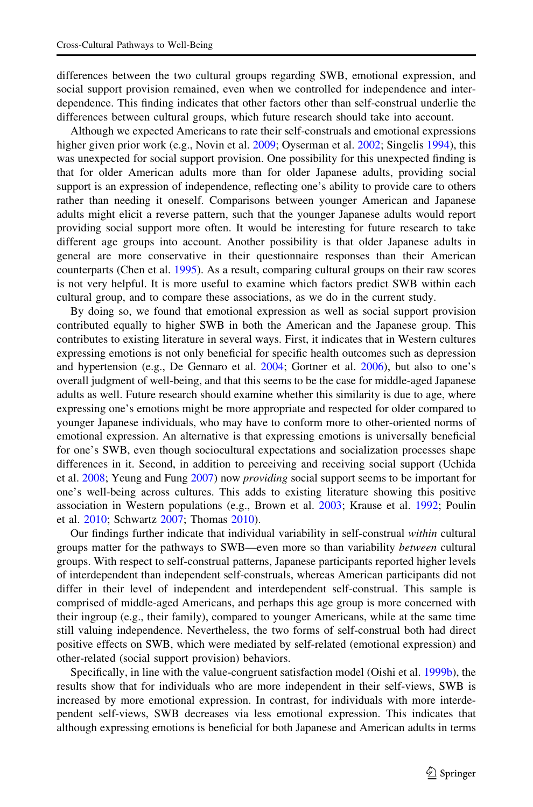differences between the two cultural groups regarding SWB, emotional expression, and social support provision remained, even when we controlled for independence and interdependence. This finding indicates that other factors other than self-construal underlie the differences between cultural groups, which future research should take into account.

Although we expected Americans to rate their self-construals and emotional expressions higher given prior work (e.g., Novin et al. [2009](#page-18-0); Oyserman et al. [2002;](#page-19-0) Singelis [1994\)](#page-19-0), this was unexpected for social support provision. One possibility for this unexpected finding is that for older American adults more than for older Japanese adults, providing social support is an expression of independence, reflecting one's ability to provide care to others rather than needing it oneself. Comparisons between younger American and Japanese adults might elicit a reverse pattern, such that the younger Japanese adults would report providing social support more often. It would be interesting for future research to take different age groups into account. Another possibility is that older Japanese adults in general are more conservative in their questionnaire responses than their American counterparts (Chen et al. [1995](#page-18-0)). As a result, comparing cultural groups on their raw scores is not very helpful. It is more useful to examine which factors predict SWB within each cultural group, and to compare these associations, as we do in the current study.

By doing so, we found that emotional expression as well as social support provision contributed equally to higher SWB in both the American and the Japanese group. This contributes to existing literature in several ways. First, it indicates that in Western cultures expressing emotions is not only beneficial for specific health outcomes such as depression and hypertension (e.g., De Gennaro et al. [2004](#page-18-0); Gortner et al. [2006\)](#page-18-0), but also to one's overall judgment of well-being, and that this seems to be the case for middle-aged Japanese adults as well. Future research should examine whether this similarity is due to age, where expressing one's emotions might be more appropriate and respected for older compared to younger Japanese individuals, who may have to conform more to other-oriented norms of emotional expression. An alternative is that expressing emotions is universally beneficial for one's SWB, even though sociocultural expectations and socialization processes shape differences in it. Second, in addition to perceiving and receiving social support (Uchida et al. [2008;](#page-19-0) Yeung and Fung [2007](#page-19-0)) now providing social support seems to be important for one's well-being across cultures. This adds to existing literature showing this positive association in Western populations (e.g., Brown et al. [2003](#page-17-0); Krause et al. [1992](#page-18-0); Poulin et al. [2010](#page-19-0); Schwartz [2007](#page-19-0); Thomas [2010\)](#page-19-0).

Our findings further indicate that individual variability in self-construal within cultural groups matter for the pathways to SWB—even more so than variability between cultural groups. With respect to self-construal patterns, Japanese participants reported higher levels of interdependent than independent self-construals, whereas American participants did not differ in their level of independent and interdependent self-construal. This sample is comprised of middle-aged Americans, and perhaps this age group is more concerned with their ingroup (e.g., their family), compared to younger Americans, while at the same time still valuing independence. Nevertheless, the two forms of self-construal both had direct positive effects on SWB, which were mediated by self-related (emotional expression) and other-related (social support provision) behaviors.

Specifically, in line with the value-congruent satisfaction model (Oishi et al. [1999b](#page-19-0)), the results show that for individuals who are more independent in their self-views, SWB is increased by more emotional expression. In contrast, for individuals with more interdependent self-views, SWB decreases via less emotional expression. This indicates that although expressing emotions is beneficial for both Japanese and American adults in terms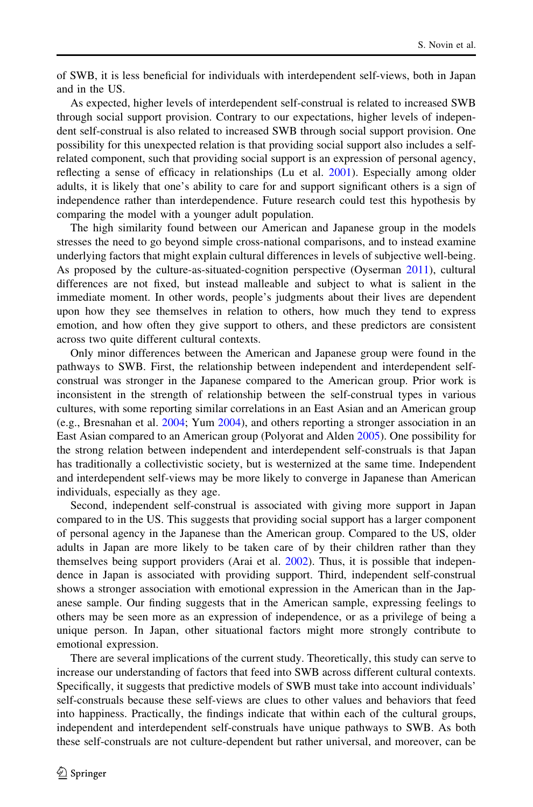of SWB, it is less beneficial for individuals with interdependent self-views, both in Japan and in the US.

As expected, higher levels of interdependent self-construal is related to increased SWB through social support provision. Contrary to our expectations, higher levels of independent self-construal is also related to increased SWB through social support provision. One possibility for this unexpected relation is that providing social support also includes a selfrelated component, such that providing social support is an expression of personal agency, reflecting a sense of efficacy in relationships (Lu et al. [2001](#page-18-0)). Especially among older adults, it is likely that one's ability to care for and support significant others is a sign of independence rather than interdependence. Future research could test this hypothesis by comparing the model with a younger adult population.

The high similarity found between our American and Japanese group in the models stresses the need to go beyond simple cross-national comparisons, and to instead examine underlying factors that might explain cultural differences in levels of subjective well-being. As proposed by the culture-as-situated-cognition perspective (Oyserman [2011](#page-19-0)), cultural differences are not fixed, but instead malleable and subject to what is salient in the immediate moment. In other words, people's judgments about their lives are dependent upon how they see themselves in relation to others, how much they tend to express emotion, and how often they give support to others, and these predictors are consistent across two quite different cultural contexts.

Only minor differences between the American and Japanese group were found in the pathways to SWB. First, the relationship between independent and interdependent selfconstrual was stronger in the Japanese compared to the American group. Prior work is inconsistent in the strength of relationship between the self-construal types in various cultures, with some reporting similar correlations in an East Asian and an American group (e.g., Bresnahan et al. [2004;](#page-17-0) Yum [2004\)](#page-19-0), and others reporting a stronger association in an East Asian compared to an American group (Polyorat and Alden [2005\)](#page-19-0). One possibility for the strong relation between independent and interdependent self-construals is that Japan has traditionally a collectivistic society, but is westernized at the same time. Independent and interdependent self-views may be more likely to converge in Japanese than American individuals, especially as they age.

Second, independent self-construal is associated with giving more support in Japan compared to in the US. This suggests that providing social support has a larger component of personal agency in the Japanese than the American group. Compared to the US, older adults in Japan are more likely to be taken care of by their children rather than they themselves being support providers (Arai et al. [2002](#page-17-0)). Thus, it is possible that independence in Japan is associated with providing support. Third, independent self-construal shows a stronger association with emotional expression in the American than in the Japanese sample. Our finding suggests that in the American sample, expressing feelings to others may be seen more as an expression of independence, or as a privilege of being a unique person. In Japan, other situational factors might more strongly contribute to emotional expression.

There are several implications of the current study. Theoretically, this study can serve to increase our understanding of factors that feed into SWB across different cultural contexts. Specifically, it suggests that predictive models of SWB must take into account individuals' self-construals because these self-views are clues to other values and behaviors that feed into happiness. Practically, the findings indicate that within each of the cultural groups, independent and interdependent self-construals have unique pathways to SWB. As both these self-construals are not culture-dependent but rather universal, and moreover, can be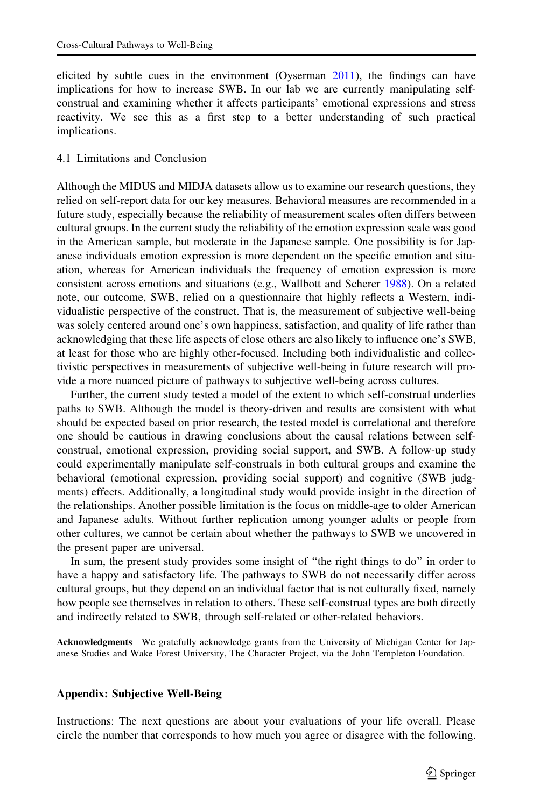<span id="page-14-0"></span>elicited by subtle cues in the environment (Oyserman [2011](#page-19-0)), the findings can have implications for how to increase SWB. In our lab we are currently manipulating selfconstrual and examining whether it affects participants' emotional expressions and stress reactivity. We see this as a first step to a better understanding of such practical implications.

#### 4.1 Limitations and Conclusion

Although the MIDUS and MIDJA datasets allow us to examine our research questions, they relied on self-report data for our key measures. Behavioral measures are recommended in a future study, especially because the reliability of measurement scales often differs between cultural groups. In the current study the reliability of the emotion expression scale was good in the American sample, but moderate in the Japanese sample. One possibility is for Japanese individuals emotion expression is more dependent on the specific emotion and situation, whereas for American individuals the frequency of emotion expression is more consistent across emotions and situations (e.g., Wallbott and Scherer [1988\)](#page-19-0). On a related note, our outcome, SWB, relied on a questionnaire that highly reflects a Western, individualistic perspective of the construct. That is, the measurement of subjective well-being was solely centered around one's own happiness, satisfaction, and quality of life rather than acknowledging that these life aspects of close others are also likely to influence one's SWB, at least for those who are highly other-focused. Including both individualistic and collectivistic perspectives in measurements of subjective well-being in future research will provide a more nuanced picture of pathways to subjective well-being across cultures.

Further, the current study tested a model of the extent to which self-construal underlies paths to SWB. Although the model is theory-driven and results are consistent with what should be expected based on prior research, the tested model is correlational and therefore one should be cautious in drawing conclusions about the causal relations between selfconstrual, emotional expression, providing social support, and SWB. A follow-up study could experimentally manipulate self-construals in both cultural groups and examine the behavioral (emotional expression, providing social support) and cognitive (SWB judgments) effects. Additionally, a longitudinal study would provide insight in the direction of the relationships. Another possible limitation is the focus on middle-age to older American and Japanese adults. Without further replication among younger adults or people from other cultures, we cannot be certain about whether the pathways to SWB we uncovered in the present paper are universal.

In sum, the present study provides some insight of ''the right things to do'' in order to have a happy and satisfactory life. The pathways to SWB do not necessarily differ across cultural groups, but they depend on an individual factor that is not culturally fixed, namely how people see themselves in relation to others. These self-construal types are both directly and indirectly related to SWB, through self-related or other-related behaviors.

Acknowledgments We gratefully acknowledge grants from the University of Michigan Center for Japanese Studies and Wake Forest University, The Character Project, via the John Templeton Foundation.

#### Appendix: Subjective Well-Being

Instructions: The next questions are about your evaluations of your life overall. Please circle the number that corresponds to how much you agree or disagree with the following.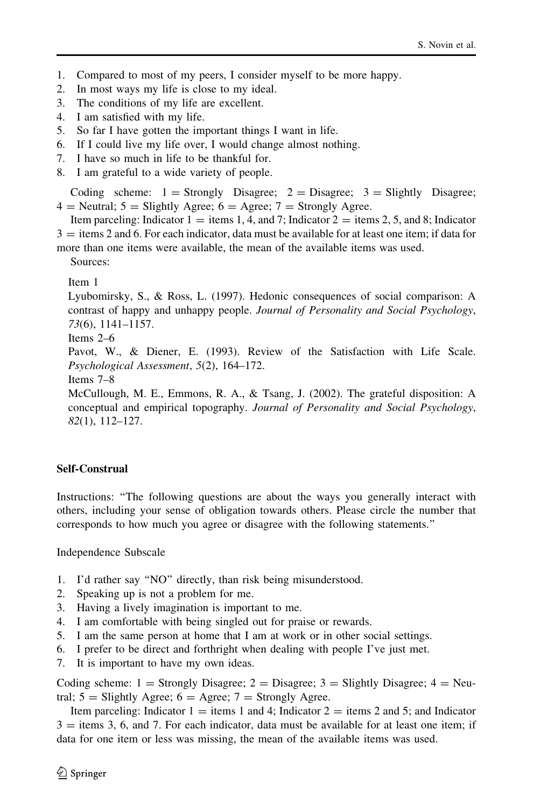- 1. Compared to most of my peers, I consider myself to be more happy.
- 2. In most ways my life is close to my ideal.
- 3. The conditions of my life are excellent.
- 4. I am satisfied with my life.
- 5. So far I have gotten the important things I want in life.
- 6. If I could live my life over, I would change almost nothing.
- 7. I have so much in life to be thankful for.
- 8. I am grateful to a wide variety of people.

Coding scheme:  $1 =$  Strongly Disagree;  $2 =$  Disagree;  $3 =$  Slightly Disagree;  $4$  = Neutral;  $5$  = Slightly Agree; 6 = Agree; 7 = Strongly Agree.

Item parceling: Indicator 1 = items 1, 4, and 7; Indicator 2 = items 2, 5, and 8; Indicator  $3 =$  items 2 and 6. For each indicator, data must be available for at least one item; if data for more than one items were available, the mean of the available items was used.

Sources:

Item 1

Lyubomirsky, S., & Ross, L. (1997). Hedonic consequences of social comparison: A contrast of happy and unhappy people. Journal of Personality and Social Psychology, 73(6), 1141–1157.

Items 2–6

Pavot, W., & Diener, E. (1993). Review of the Satisfaction with Life Scale. Psychological Assessment, 5(2), 164–172.

Items 7–8

McCullough, M. E., Emmons, R. A., & Tsang, J. (2002). The grateful disposition: A conceptual and empirical topography. Journal of Personality and Social Psychology, 82(1), 112–127.

# Self-Construal

Instructions: ''The following questions are about the ways you generally interact with others, including your sense of obligation towards others. Please circle the number that corresponds to how much you agree or disagree with the following statements.''

Independence Subscale

- 1. I'd rather say ''NO'' directly, than risk being misunderstood.
- 2. Speaking up is not a problem for me.
- 3. Having a lively imagination is important to me.
- 4. I am comfortable with being singled out for praise or rewards.
- 5. I am the same person at home that I am at work or in other social settings.
- 6. I prefer to be direct and forthright when dealing with people I've just met.
- 7. It is important to have my own ideas.

Coding scheme:  $1 =$  Strongly Disagree;  $2 =$  Disagree;  $3 =$  Slightly Disagree;  $4 =$  Neutral;  $5 =$  Slightly Agree;  $6 =$  Agree;  $7 =$  Strongly Agree.

Item parceling: Indicator  $1 =$  items 1 and 4; Indicator  $2 =$  items 2 and 5; and Indicator  $3 =$  items 3, 6, and 7. For each indicator, data must be available for at least one item; if data for one item or less was missing, the mean of the available items was used.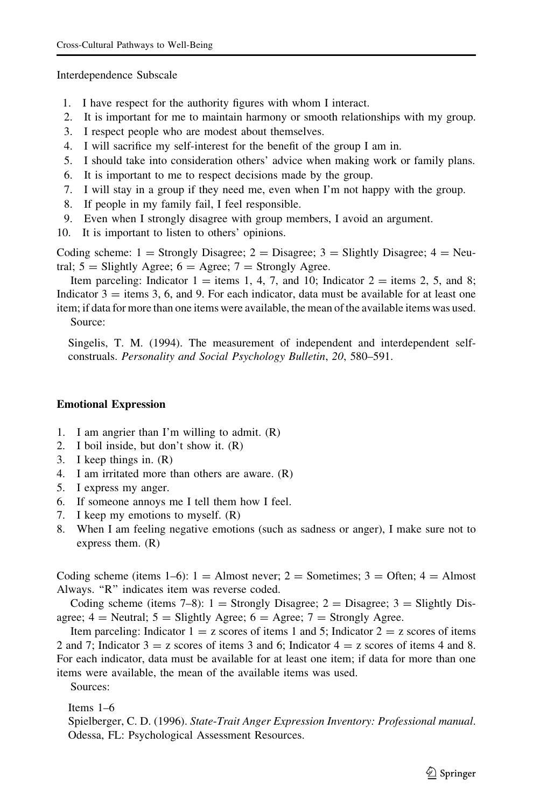Interdependence Subscale

- 1. I have respect for the authority figures with whom I interact.
- 2. It is important for me to maintain harmony or smooth relationships with my group.
- 3. I respect people who are modest about themselves.
- 4. I will sacrifice my self-interest for the benefit of the group I am in.
- 5. I should take into consideration others' advice when making work or family plans.
- 6. It is important to me to respect decisions made by the group.
- 7. I will stay in a group if they need me, even when I'm not happy with the group.
- 8. If people in my family fail, I feel responsible.
- 9. Even when I strongly disagree with group members, I avoid an argument.
- 10. It is important to listen to others' opinions.

Coding scheme:  $1 =$  Strongly Disagree;  $2 =$  Disagree;  $3 =$  Slightly Disagree;  $4 =$  Neutral;  $5 =$  Slightly Agree;  $6 =$  Agree;  $7 =$  Strongly Agree.

Item parceling: Indicator 1 = items 1, 4, 7, and 10; Indicator 2 = items 2, 5, and 8; Indicator  $3 =$  items 3, 6, and 9. For each indicator, data must be available for at least one item; if data for more than one items were available, the mean of the available items was used. Source:

Singelis, T. M. (1994). The measurement of independent and interdependent selfconstruals. Personality and Social Psychology Bulletin, 20, 580–591.

# Emotional Expression

- 1. I am angrier than I'm willing to admit. (R)
- 2. I boil inside, but don't show it. (R)
- 3. I keep things in. (R)
- 4. I am irritated more than others are aware. (R)
- 5. I express my anger.
- 6. If someone annoys me I tell them how I feel.
- 7. I keep my emotions to myself. (R)
- 8. When I am feeling negative emotions (such as sadness or anger), I make sure not to express them. (R)

Coding scheme (items 1–6):  $1 =$  Almost never;  $2 =$  Sometimes;  $3 =$  Often;  $4 =$  Almost Always. "R" indicates item was reverse coded.

Coding scheme (items 7–8):  $1 =$  Strongly Disagree;  $2 =$  Disagree;  $3 =$  Slightly Disagree;  $4$  = Neutral;  $5$  = Slightly Agree;  $6$  = Agree;  $7$  = Strongly Agree.

Item parceling: Indicator  $1 = z$  scores of items 1 and 5; Indicator  $2 = z$  scores of items 2 and 7; Indicator 3 = z scores of items 3 and 6; Indicator  $4 = z$  scores of items 4 and 8. For each indicator, data must be available for at least one item; if data for more than one items were available, the mean of the available items was used.

Sources:

Items 1–6

Spielberger, C. D. (1996). State-Trait Anger Expression Inventory: Professional manual. Odessa, FL: Psychological Assessment Resources.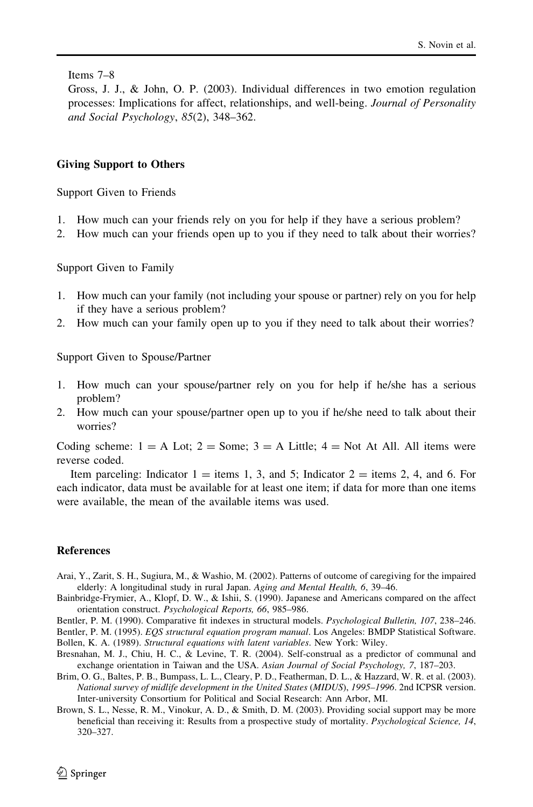<span id="page-17-0"></span>Items 7–8

Gross, J. J., & John, O. P. (2003). Individual differences in two emotion regulation processes: Implications for affect, relationships, and well-being. Journal of Personality and Social Psychology, 85(2), 348–362.

#### Giving Support to Others

Support Given to Friends

- 1. How much can your friends rely on you for help if they have a serious problem?
- 2. How much can your friends open up to you if they need to talk about their worries?

Support Given to Family

- 1. How much can your family (not including your spouse or partner) rely on you for help if they have a serious problem?
- 2. How much can your family open up to you if they need to talk about their worries?

Support Given to Spouse/Partner

- 1. How much can your spouse/partner rely on you for help if he/she has a serious problem?
- 2. How much can your spouse/partner open up to you if he/she need to talk about their worries?

Coding scheme:  $1 = A$  Lot;  $2 = Some$ ;  $3 = A$  Little;  $4 = Not$  At All. All items were reverse coded.

Item parceling: Indicator  $1 =$  items 1, 3, and 5; Indicator  $2 =$  items 2, 4, and 6. For each indicator, data must be available for at least one item; if data for more than one items were available, the mean of the available items was used.

#### References

- Arai, Y., Zarit, S. H., Sugiura, M., & Washio, M. (2002). Patterns of outcome of caregiving for the impaired elderly: A longitudinal study in rural Japan. Aging and Mental Health, 6, 39–46.
- Bainbridge-Frymier, A., Klopf, D. W., & Ishii, S. (1990). Japanese and Americans compared on the affect orientation construct. Psychological Reports, 66, 985–986.

Bentler, P. M. (1990). Comparative fit indexes in structural models. Psychological Bulletin, 107, 238–246.

Bentler, P. M. (1995). EOS structural equation program manual. Los Angeles: BMDP Statistical Software. Bollen, K. A. (1989). Structural equations with latent variables. New York: Wiley.

- Bresnahan, M. J., Chiu, H. C., & Levine, T. R. (2004). Self-construal as a predictor of communal and exchange orientation in Taiwan and the USA. Asian Journal of Social Psychology, 7, 187–203.
- Brim, O. G., Baltes, P. B., Bumpass, L. L., Cleary, P. D., Featherman, D. L., & Hazzard, W. R. et al. (2003). National survey of midlife development in the United States (MIDUS), 1995–1996. 2nd ICPSR version. Inter-university Consortium for Political and Social Research: Ann Arbor, MI.
- Brown, S. L., Nesse, R. M., Vinokur, A. D., & Smith, D. M. (2003). Providing social support may be more beneficial than receiving it: Results from a prospective study of mortality. Psychological Science, 14, 320–327.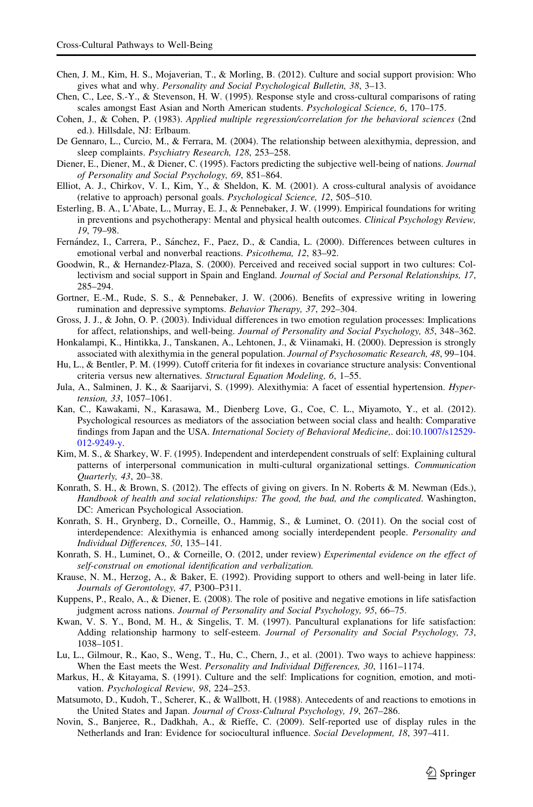- <span id="page-18-0"></span>Chen, J. M., Kim, H. S., Mojaverian, T., & Morling, B. (2012). Culture and social support provision: Who gives what and why. Personality and Social Psychological Bulletin, 38, 3–13.
- Chen, C., Lee, S.-Y., & Stevenson, H. W. (1995). Response style and cross-cultural comparisons of rating scales amongst East Asian and North American students. Psychological Science, 6, 170–175.
- Cohen, J., & Cohen, P. (1983). Applied multiple regression/correlation for the behavioral sciences (2nd ed.). Hillsdale, NJ: Erlbaum.
- De Gennaro, L., Curcio, M., & Ferrara, M. (2004). The relationship between alexithymia, depression, and sleep complaints. Psychiatry Research, 128, 253–258.
- Diener, E., Diener, M., & Diener, C. (1995). Factors predicting the subjective well-being of nations. *Journal* of Personality and Social Psychology, 69, 851–864.
- Elliot, A. J., Chirkov, V. I., Kim, Y., & Sheldon, K. M. (2001). A cross-cultural analysis of avoidance (relative to approach) personal goals. Psychological Science, 12, 505–510.
- Esterling, B. A., L'Abate, L., Murray, E. J., & Pennebaker, J. W. (1999). Empirical foundations for writing in preventions and psychotherapy: Mental and physical health outcomes. Clinical Psychology Review, 19, 79–98.
- Fernández, I., Carrera, P., Sánchez, F., Paez, D., & Candia, L. (2000). Differences between cultures in emotional verbal and nonverbal reactions. Psicothema, 12, 83–92.
- Goodwin, R., & Hernandez-Plaza, S. (2000). Perceived and received social support in two cultures: Collectivism and social support in Spain and England. Journal of Social and Personal Relationships, 17, 285–294.
- Gortner, E.-M., Rude, S. S., & Pennebaker, J. W. (2006). Benefits of expressive writing in lowering rumination and depressive symptoms. Behavior Therapy, 37, 292–304.
- Gross, J. J., & John, O. P. (2003). Individual differences in two emotion regulation processes: Implications for affect, relationships, and well-being. Journal of Personality and Social Psychology, 85, 348–362.
- Honkalampi, K., Hintikka, J., Tanskanen, A., Lehtonen, J., & Viinamaki, H. (2000). Depression is strongly associated with alexithymia in the general population. Journal of Psychosomatic Research, 48, 99–104.
- Hu, L., & Bentler, P. M. (1999). Cutoff criteria for fit indexes in covariance structure analysis: Conventional criteria versus new alternatives. Structural Equation Modeling, 6, 1–55.
- Jula, A., Salminen, J. K., & Saarijarvi, S. (1999). Alexithymia: A facet of essential hypertension. *Hyper*tension, 33, 1057–1061.
- Kan, C., Kawakami, N., Karasawa, M., Dienberg Love, G., Coe, C. L., Miyamoto, Y., et al. (2012). Psychological resources as mediators of the association between social class and health: Comparative findings from Japan and the USA. International Society of Behavioral Medicine,. doi:[10.1007/s12529-](http://dx.doi.org/10.1007/s12529-012-9249-y) [012-9249-y.](http://dx.doi.org/10.1007/s12529-012-9249-y)
- Kim, M. S., & Sharkey, W. F. (1995). Independent and interdependent construals of self: Explaining cultural patterns of interpersonal communication in multi-cultural organizational settings. Communication Quarterly, 43, 20–38.
- Konrath, S. H., & Brown, S. (2012). The effects of giving on givers. In N. Roberts & M. Newman (Eds.), Handbook of health and social relationships: The good, the bad, and the complicated. Washington, DC: American Psychological Association.
- Konrath, S. H., Grynberg, D., Corneille, O., Hammig, S., & Luminet, O. (2011). On the social cost of interdependence: Alexithymia is enhanced among socially interdependent people. Personality and Individual Differences, 50, 135–141.
- Konrath, S. H., Luminet, O., & Corneille, O. (2012, under review) Experimental evidence on the effect of self-construal on emotional identification and verbalization.
- Krause, N. M., Herzog, A., & Baker, E. (1992). Providing support to others and well-being in later life. Journals of Gerontology, 47, P300–P311.
- Kuppens, P., Realo, A., & Diener, E. (2008). The role of positive and negative emotions in life satisfaction judgment across nations. Journal of Personality and Social Psychology, 95, 66–75.
- Kwan, V. S. Y., Bond, M. H., & Singelis, T. M. (1997). Pancultural explanations for life satisfaction: Adding relationship harmony to self-esteem. Journal of Personality and Social Psychology, 73, 1038–1051.
- Lu, L., Gilmour, R., Kao, S., Weng, T., Hu, C., Chern, J., et al. (2001). Two ways to achieve happiness: When the East meets the West. Personality and Individual Differences, 30, 1161–1174.
- Markus, H., & Kitayama, S. (1991). Culture and the self: Implications for cognition, emotion, and motivation. Psychological Review, 98, 224–253.
- Matsumoto, D., Kudoh, T., Scherer, K., & Wallbott, H. (1988). Antecedents of and reactions to emotions in the United States and Japan. Journal of Cross-Cultural Psychology, 19, 267–286.
- Novin, S., Banjeree, R., Dadkhah, A., & Rieffe, C. (2009). Self-reported use of display rules in the Netherlands and Iran: Evidence for sociocultural influence. Social Development, 18, 397–411.